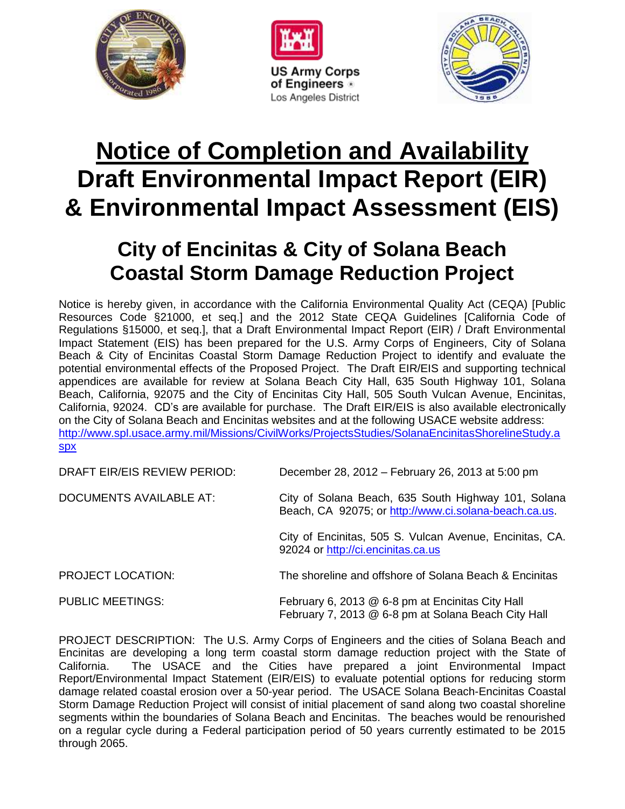





## **Notice of Completion and Availability Draft Environmental Impact Report (EIR) & Environmental Impact Assessment (EIS)**

## **City of Encinitas & City of Solana Beach Coastal Storm Damage Reduction Project**

Notice is hereby given, in accordance with the California Environmental Quality Act (CEQA) [Public Resources Code §21000, et seq.] and the 2012 State CEQA Guidelines [California Code of Regulations §15000, et seq.], that a Draft Environmental Impact Report (EIR) / Draft Environmental Impact Statement (EIS) has been prepared for the U.S. Army Corps of Engineers, City of Solana Beach & City of Encinitas Coastal Storm Damage Reduction Project to identify and evaluate the potential environmental effects of the Proposed Project. The Draft EIR/EIS and supporting technical appendices are available for review at Solana Beach City Hall, 635 South Highway 101, Solana Beach, California, 92075 and the City of Encinitas City Hall, 505 South Vulcan Avenue, Encinitas, California, 92024. CD's are available for purchase. The Draft EIR/EIS is also available electronically on the City of Solana Beach and Encinitas websites and at the following USACE website address: [http://www.spl.usace.army.mil/Missions/CivilWorks/ProjectsStudies/SolanaEncinitasShorelineStudy.a](http://www.spl.usace.army.mil/Missions/CivilWorks/ProjectsStudies/SolanaEncinitasShorelineStudy.aspx) [spx](http://www.spl.usace.army.mil/Missions/CivilWorks/ProjectsStudies/SolanaEncinitasShorelineStudy.aspx)

| DRAFT EIR/EIS REVIEW PERIOD:   | December 28, 2012 – February 26, 2013 at 5:00 pm                                                             |
|--------------------------------|--------------------------------------------------------------------------------------------------------------|
| <b>DOCUMENTS AVAILABLE AT:</b> | City of Solana Beach, 635 South Highway 101, Solana<br>Beach, CA 92075; or http://www.ci.solana-beach.ca.us. |
|                                | City of Encinitas, 505 S. Vulcan Avenue, Encinitas, CA.<br>92024 or http://ci.encinitas.ca.us                |
| <b>PROJECT LOCATION:</b>       | The shoreline and offshore of Solana Beach & Encinitas                                                       |
| <b>PUBLIC MEETINGS:</b>        | February 6, 2013 @ 6-8 pm at Encinitas City Hall<br>February 7, 2013 @ 6-8 pm at Solana Beach City Hall      |

PROJECT DESCRIPTION: The U.S. Army Corps of Engineers and the cities of Solana Beach and Encinitas are developing a long term coastal storm damage reduction project with the State of California. The USACE and the Cities have prepared a joint Environmental Impact Report/Environmental Impact Statement (EIR/EIS) to evaluate potential options for reducing storm damage related coastal erosion over a 50-year period. The USACE Solana Beach-Encinitas Coastal Storm Damage Reduction Project will consist of initial placement of sand along two coastal shoreline segments within the boundaries of Solana Beach and Encinitas. The beaches would be renourished on a regular cycle during a Federal participation period of 50 years currently estimated to be 2015 through 2065.